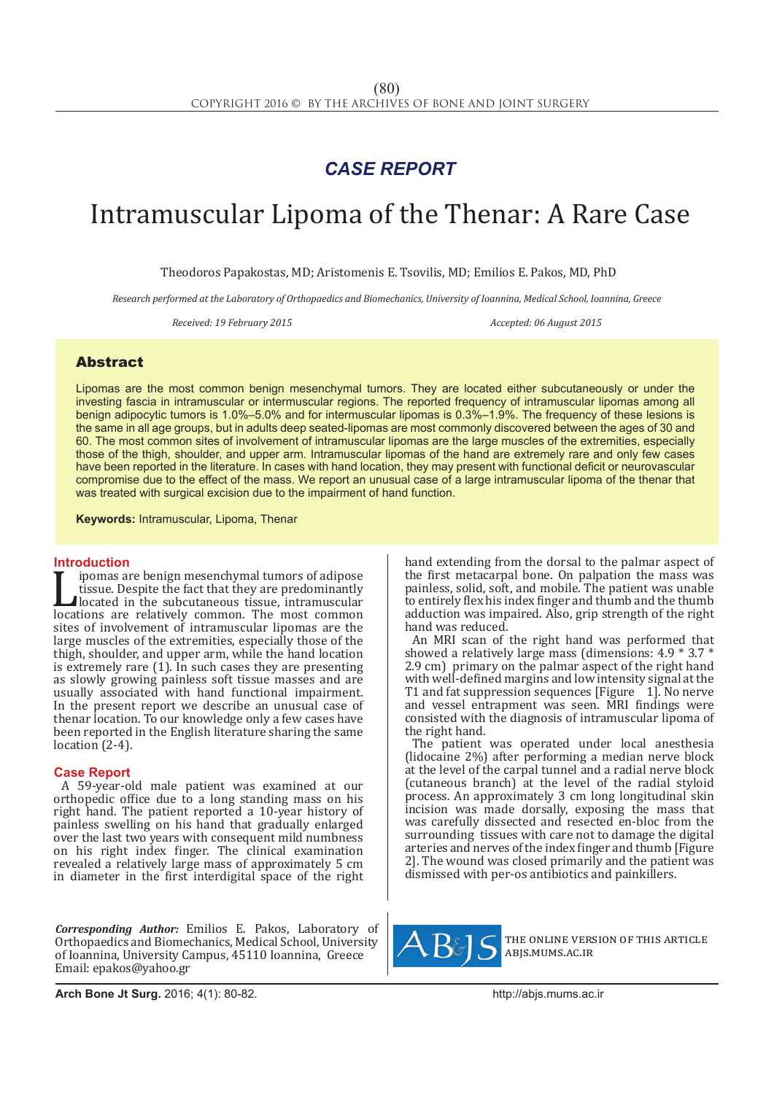## *CASE REPORT*

# Intramuscular Lipoma of the Thenar: A Rare Case

Theodoros Papakostas, MD; Aristomenis E. Tsovilis, MD; Emilios E. Pakos, MD, PhD

*Research performed at the Laboratory of Orthopaedics and Biomechanics, University of Ioannina, Medical School, Ioannina, Greece*

Received: 19 February 2015 **Accepted: 06 August 2015** Accepted: 06 August 2015

### Abstract

Lipomas are the most common benign mesenchymal tumors. They are located either subcutaneously or under the investing fascia in intramuscular or intermuscular regions. The reported frequency of intramuscular lipomas among all benign adipocytic tumors is 1.0%–5.0% and for intermuscular lipomas is 0.3%–1.9%. The frequency of these lesions is the same in all age groups, but in adults deep seated-lipomas are most commonly discovered between the ages of 30 and 60. The most common sites of involvement of intramuscular lipomas are the large muscles of the extremities, especially those of the thigh, shoulder, and upper arm. Intramuscular lipomas of the hand are extremely rare and only few cases have been reported in the literature. In cases with hand location, they may present with functional deficit or neurovascular compromise due to the effect of the mass. We report an unusual case of a large intramuscular lipoma of the thenar that was treated with surgical excision due to the impairment of hand function.

**Keywords:** Intramuscular, Lipoma, Thenar

**Introduction**<br>**T** ipomas are benign mesenchymal tumors of adipose I pomas are benign mesenchymal tumors of adipose<br>tissue. Despite the fact that they are predominantly<br>located in the subcutaneous tissue, intramuscular<br>locations are relatively common. The most common<br>sites of involvement tissue. Despite the fact that they are predominantly located in the subcutaneous tissue, intramuscular locations are relatively common. The most common sites of involvement of intramuscular lipomas are the large muscles of the extremities, especially those of the thigh, shoulder, and upper arm, while the hand location is extremely rare (1). In such cases they are presenting as slowly growing painless soft tissue masses and are usually associated with hand functional impairment. In the present report we describe an unusual case of thenar location. To our knowledge only a few cases have been reported in the English literature sharing the same location (2-4).

### **Case Report**

A 59-year-old male patient was examined at our orthopedic office due to a long standing mass on his right hand. The patient reported a 10-year history of painless swelling on his hand that gradually enlarged over the last two years with consequent mild numbness on his right index finger. The clinical examination revealed a relatively large mass of approximately 5 cm in diameter in the first interdigital space of the right

*Corresponding Author:* Emilios E. Pakos, Laboratory of Orthopaedics and Biomechanics, Medical School, University of Ioannina, University Campus, 45110 Ioannina, Greece Email: epakos@yahoo.gr

hand extending from the dorsal to the palmar aspect of the first metacarpal bone. On palpation the mass was painless, solid, soft, and mobile. The patient was unable to entirely flex his index finger and thumb and the thumb adduction was impaired. Also, grip strength of the right hand was reduced.

An MRI scan of the right hand was performed that showed a relatively large mass (dimensions: 4.9 \* 3.7 \* 2.9 cm) primary on the palmar aspect of the right hand with well-defined margins and low intensity signal at the T1 and fat suppression sequences [Figure 1]. No nerve and vessel entrapment was seen. MRI findings were consisted with the diagnosis of intramuscular lipoma of the right hand.

The patient was operated under local anesthesia (lidocaine 2%) after performing a median nerve block at the level of the carpal tunnel and a radial nerve block (cutaneous branch) at the level of the radial styloid process. An approximately 3 cm long longitudinal skin incision was made dorsally, exposing the mass that was carefully dissected and resected en-bloc from the surrounding tissues with care not to damage the digital arteries and nerves of the index finger and thumb [Figure 2]. The wound was closed primarily and the patient was dismissed with per-os antibiotics and painkillers.



the online version of this article abjs.mums.ac.ir

**Arch Bone Jt Surg.** 2016; 4(1): 80-82.http://abjs.mums.ac.ir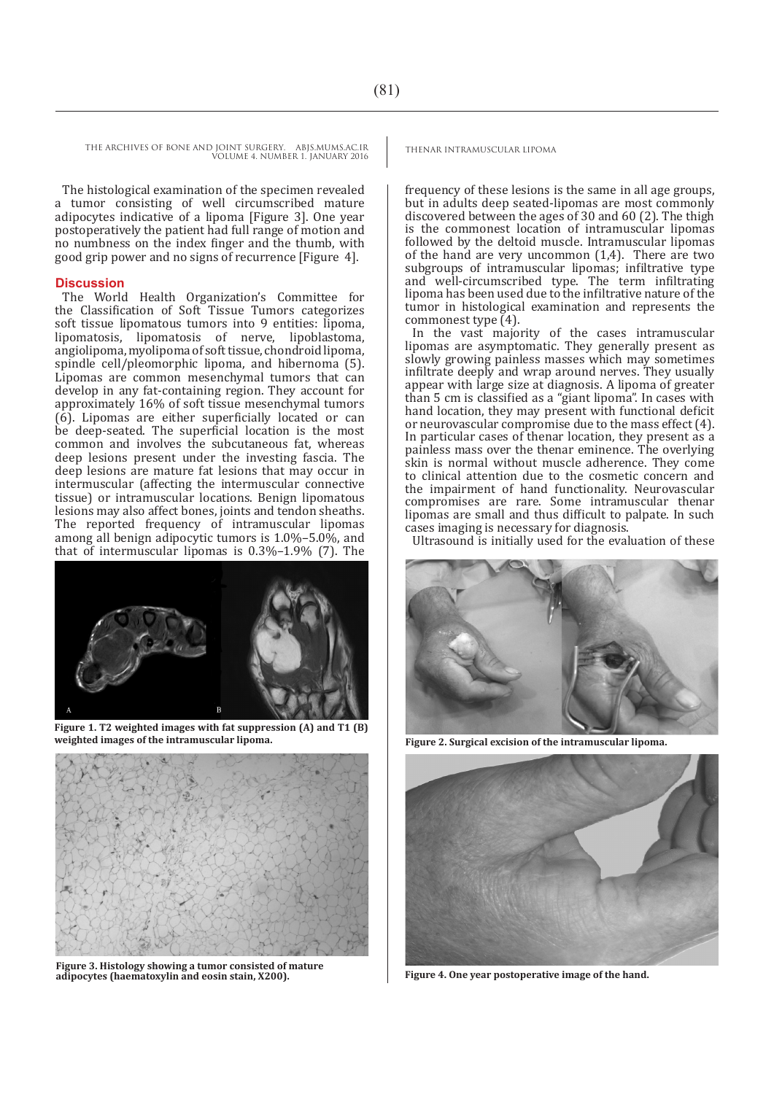THE ARCHIVES OF BONE AND JOINT SURGERY. ABJS.MUMS.AC.IR THENAR INTRAMUSCULAR LIPOMA VOLUME 4. NUMBER 1. JANUARY 2016

The histological examination of the specimen revealed a tumor consisting of well circumscribed mature adipocytes indicative of a lipoma [Figure 3]. One year postoperatively the patient had full range of motion and no numbness on the index finger and the thumb, with good grip power and no signs of recurrence [Figure 4].

### **Discussion**

The World Health Organization's Committee for the Classification of Soft Tissue Tumors categorizes soft tissue lipomatous tumors into 9 entities: lipoma, lipomatosis, lipomatosis of nerve, lipoblastoma, angiolipoma, myolipoma of soft tissue, chondroid lipoma, spindle cell/pleomorphic lipoma, and hibernoma (5). Lipomas are common mesenchymal tumors that can develop in any fat-containing region. They account for approximately 16% of soft tissue mesenchymal tumors (6). Lipomas are either superficially located or can be deep-seated. The superficial location is the most common and involves the subcutaneous fat, whereas deep lesions present under the investing fascia. The deep lesions are mature fat lesions that may occur in intermuscular (affecting the intermuscular connective tissue) or intramuscular locations. Benign lipomatous lesions may also affect bones, joints and tendon sheaths. The reported frequency of intramuscular lipomas among all benign adipocytic tumors is 1.0%–5.0%, and that of intermuscular lipomas is 0.3%–1.9% (7). The



**Figure 1. T2 weighted images with fat suppression (A) and T1 (B) weighted images of the intramuscular lipoma. Figure 2. Surgical excision of the intramuscular lipoma.**



**Figure 3. Histology showing a tumor consisted of mature adipocytes (haematoxylin and eosin stain, X200). Figure 4. One year postoperative image of the hand.**

frequency of these lesions is the same in all age groups, but in adults deep seated-lipomas are most commonly discovered between the ages of 30 and 60 (2). The thigh is the commonest location of intramuscular lipomas followed by the deltoid muscle. Intramuscular lipomas of the hand are very uncommon (1,4). There are two subgroups of intramuscular lipomas; infiltrative type and well-circumscribed type. The term infiltrating lipoma has been used due to the infiltrative nature of the tumor in histological examination and represents the commonest type  $(4)$ .

In the vast majority of the cases intramuscular lipomas are asymptomatic. They generally present as slowly growing painless masses which may sometimes infiltrate deeply and wrap around nerves. They usually appear with large size at diagnosis. A lipoma of greater than 5 cm is classified as a "giant lipoma". In cases with hand location, they may present with functional deficit or neurovascular compromise due to the mass effect (4). In particular cases of thenar location, they present as a painless mass over the thenar eminence. The overlying skin is normal without muscle adherence. They come to clinical attention due to the cosmetic concern and the impairment of hand functionality. Neurovascular compromises are rare. Some intramuscular thenar lipomas are small and thus difficult to palpate. In such cases imaging is necessary for diagnosis.

Ultrasound is initially used for the evaluation of these